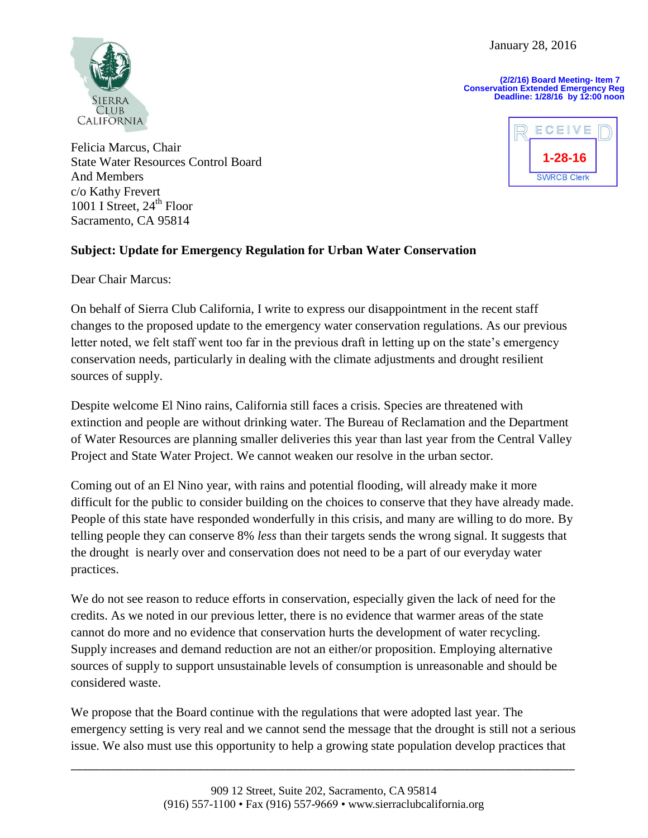January 28, 2016

**(2/2/16) Board Meeting- Item 7 Conservation Extended Emergency Reg Deadline: 1/28/16 by 12:00 noon**



Felicia Marcus, Chair State Water Resources Control Board And Members c/o Kathy Frevert 1001 I Street,  $24<sup>th</sup>$  Floor Sacramento, CA 95814



## **Subject: Update for Emergency Regulation for Urban Water Conservation**

Dear Chair Marcus:

On behalf of Sierra Club California, I write to express our disappointment in the recent staff changes to the proposed update to the emergency water conservation regulations. As our previous letter noted, we felt staff went too far in the previous draft in letting up on the state's emergency conservation needs, particularly in dealing with the climate adjustments and drought resilient sources of supply.

Despite welcome El Nino rains, California still faces a crisis. Species are threatened with extinction and people are without drinking water. The Bureau of Reclamation and the Department of Water Resources are planning smaller deliveries this year than last year from the Central Valley Project and State Water Project. We cannot weaken our resolve in the urban sector.

Coming out of an El Nino year, with rains and potential flooding, will already make it more difficult for the public to consider building on the choices to conserve that they have already made. People of this state have responded wonderfully in this crisis, and many are willing to do more. By telling people they can conserve 8% *less* than their targets sends the wrong signal. It suggests that the drought is nearly over and conservation does not need to be a part of our everyday water practices.

We do not see reason to reduce efforts in conservation, especially given the lack of need for the credits. As we noted in our previous letter, there is no evidence that warmer areas of the state cannot do more and no evidence that conservation hurts the development of water recycling. Supply increases and demand reduction are not an either/or proposition. Employing alternative sources of supply to support unsustainable levels of consumption is unreasonable and should be considered waste.

We propose that the Board continue with the regulations that were adopted last year. The emergency setting is very real and we cannot send the message that the drought is still not a serious issue. We also must use this opportunity to help a growing state population develop practices that

\_\_\_\_\_\_\_\_\_\_\_\_\_\_\_\_\_\_\_\_\_\_\_\_\_\_\_\_\_\_\_\_\_\_\_\_\_\_\_\_\_\_\_\_\_\_\_\_\_\_\_\_\_\_\_\_\_\_\_\_\_\_\_\_\_\_\_\_\_\_\_\_\_\_\_\_\_\_\_\_\_\_\_\_\_\_\_